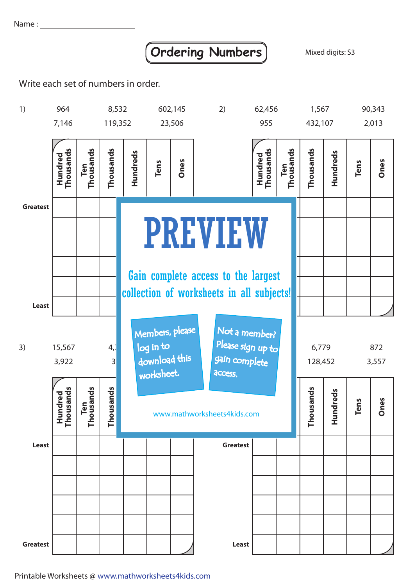Name:

## **Ordering Numbers** Mixed digits: S3

Write each set of numbers in order.



Printable Worksheets @ www.mathworksheets4kids.com